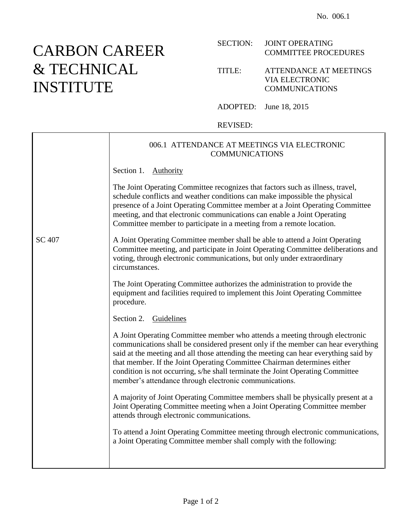## CARBON CAREER & TECHNICAL INSTITUTE

## SECTION: JOINT OPERATING COMMITTEE PROCEDURES

## TITLE: ATTENDANCE AT MEETINGS VIA ELECTRONIC COMMUNICATIONS

ADOPTED: June 18, 2015

## REVISED:

|               | 006.1 ATTENDANCE AT MEETINGS VIA ELECTRONIC<br><b>COMMUNICATIONS</b>                                                                                                                                                                                                                                                                                                                                                                                                            |
|---------------|---------------------------------------------------------------------------------------------------------------------------------------------------------------------------------------------------------------------------------------------------------------------------------------------------------------------------------------------------------------------------------------------------------------------------------------------------------------------------------|
|               | Section 1. Authority                                                                                                                                                                                                                                                                                                                                                                                                                                                            |
|               | The Joint Operating Committee recognizes that factors such as illness, travel,<br>schedule conflicts and weather conditions can make impossible the physical<br>presence of a Joint Operating Committee member at a Joint Operating Committee<br>meeting, and that electronic communications can enable a Joint Operating<br>Committee member to participate in a meeting from a remote location.                                                                               |
| <b>SC 407</b> | A Joint Operating Committee member shall be able to attend a Joint Operating<br>Committee meeting, and participate in Joint Operating Committee deliberations and<br>voting, through electronic communications, but only under extraordinary<br>circumstances.                                                                                                                                                                                                                  |
|               | The Joint Operating Committee authorizes the administration to provide the<br>equipment and facilities required to implement this Joint Operating Committee<br>procedure.                                                                                                                                                                                                                                                                                                       |
|               | Section 2. Guidelines                                                                                                                                                                                                                                                                                                                                                                                                                                                           |
|               | A Joint Operating Committee member who attends a meeting through electronic<br>communications shall be considered present only if the member can hear everything<br>said at the meeting and all those attending the meeting can hear everything said by<br>that member. If the Joint Operating Committee Chairman determines either<br>condition is not occurring, s/he shall terminate the Joint Operating Committee<br>member's attendance through electronic communications. |
|               | A majority of Joint Operating Committee members shall be physically present at a<br>Joint Operating Committee meeting when a Joint Operating Committee member<br>attends through electronic communications.                                                                                                                                                                                                                                                                     |
|               | To attend a Joint Operating Committee meeting through electronic communications,<br>a Joint Operating Committee member shall comply with the following:                                                                                                                                                                                                                                                                                                                         |
|               |                                                                                                                                                                                                                                                                                                                                                                                                                                                                                 |